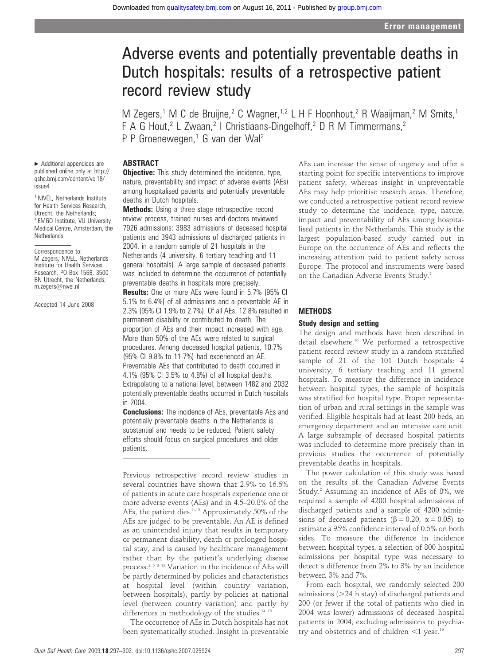# Adverse events and potentially preventable deaths in Dutch hospitals: results of a retrospective patient record review study

M Zegers,<sup>1</sup> M C de Bruijne,<sup>2</sup> C Wagner,<sup>1,2</sup> L H F Hoonhout,<sup>2</sup> R Waaijman,<sup>2</sup> M Smits,<sup>1</sup> F A G Hout,<sup>2</sup> L Zwaan,<sup>2</sup> I Christiaans-Dingelhoff,<sup>2</sup> D R M Timmermans,<sup>2</sup> P P Groenewegen,<sup>1</sup> G van der Wal<sup>2</sup>

# ABSTRACT

 $\blacktriangleright$  Additional appendices are published online only at http:// qshc.bmj.com/content/vol18/ issue4

<sup>1</sup> NIVEL, Netherlands Institute for Health Services Research, Utrecht, the Netherlands; <sup>2</sup> EMGO Institute, VU University Medical Centre, Amsterdam, the **Netherlands** 

#### Correspondence to: M Zegers, NIVEL, Netherlands Institute for Health Services Research, PO Box 1568, 3500 BN Utrecht, the Netherlands; m.zegers@nivel.nl

Accepted 14 June 2008

**Objective:** This study determined the incidence, type, nature, preventability and impact of adverse events (AEs) among hospitalised patients and potentially preventable deaths in Dutch hospitals.

**Methods:** Using a three-stage retrospective record review process, trained nurses and doctors reviewed 7926 admissions: 3983 admissions of deceased hospital patients and 3943 admissions of discharged patients in 2004, in a random sample of 21 hospitals in the Netherlands (4 university, 6 tertiary teaching and 11 general hospitals). A large sample of deceased patients was included to determine the occurrence of potentially preventable deaths in hospitals more precisely.

Results: One or more AEs were found in 5.7% (95% CI 5.1% to 6.4%) of all admissions and a preventable AE in 2.3% (95% CI 1.9% to 2.7%). Of all AEs, 12.8% resulted in permanent disability or contributed to death. The proportion of AEs and their impact increased with age. More than 50% of the AEs were related to surgical procedures. Among deceased hospital patients, 10.7% (95% CI 9.8% to 11.7%) had experienced an AE. Preventable AEs that contributed to death occurred in 4.1% (95% CI 3.5% to 4.8%) of all hospital deaths. Extrapolating to a national level, between 1482 and 2032 potentially preventable deaths occurred in Dutch hospitals in 2004.

**Conclusions:** The incidence of AEs, preventable AEs and potentially preventable deaths in the Netherlands is substantial and needs to be reduced. Patient safety efforts should focus on surgical procedures and older patients.

Previous retrospective record review studies in several countries have shown that 2.9% to 16.6% of patients in acute care hospitals experience one or more adverse events (AEs) and in 4.5–20.8% of the AEs, the patient dies.<sup>1–13</sup> Approximately 50% of the AEs are judged to be preventable. An AE is defined as an unintended injury that results in temporary or permanent disability, death or prolonged hospital stay, and is caused by healthcare management rather than by the patient's underlying disease process.2 5 8 13 Variation in the incidence of AEs will be partly determined by policies and characteristics at hospital level (within country variation, between hospitals), partly by policies at national level (between country variation) and partly by differences in methodology of the studies.<sup>14 15</sup>

The occurrence of AEs in Dutch hospitals has not been systematically studied. Insight in preventable AEs can increase the sense of urgency and offer a starting point for specific interventions to improve patient safety, whereas insight in unpreventable AEs may help prioritise research areas. Therefore, we conducted a retrospective patient record review study to determine the incidence, type, nature, impact and preventability of AEs among hospitalised patients in the Netherlands. This study is the largest population-based study carried out in Europe on the occurrence of AEs and reflects the increasing attention paid to patient safety across Europe. The protocol and instruments were based on the Canadian Adverse Events Study.<sup>2</sup>

# **METHODS**

#### Study design and setting

The design and methods have been described in detail elsewhere.<sup>16</sup> We performed a retrospective patient record review study in a random stratified sample of 21 of the 101 Dutch hospitals: 4 university, 6 tertiary teaching and 11 general hospitals. To measure the difference in incidence between hospital types, the sample of hospitals was stratified for hospital type. Proper representation of urban and rural settings in the sample was verified. Eligible hospitals had at least 200 beds, an emergency department and an intensive care unit. A large subsample of deceased hospital patients was included to determine more precisely than in previous studies the occurrence of potentially preventable deaths in hospitals.

The power calculation of this study was based on the results of the Canadian Adverse Events Study.2 Assuming an incidence of AEs of 8%, we required a sample of 4200 hospital admissions of discharged patients and a sample of 4200 admissions of deceased patients ( $\beta = 0.20$ ,  $\alpha = 0.05$ ) to estimate a 95% confidence interval of 0.5% on both sides. To measure the difference in incidence between hospital types, a selection of 800 hospital admissions per hospital type was necessary to detect a difference from 2% to 3% by an incidence between 3% and 7%.

From each hospital, we randomly selected 200 admissions  $(>=24$  h stay) of discharged patients and 200 (or fewer if the total of patients who died in 2004 was lower) admissions of deceased hospital patients in 2004, excluding admissions to psychiatry and obstetrics and of children  $<$ 1 year.<sup>16</sup>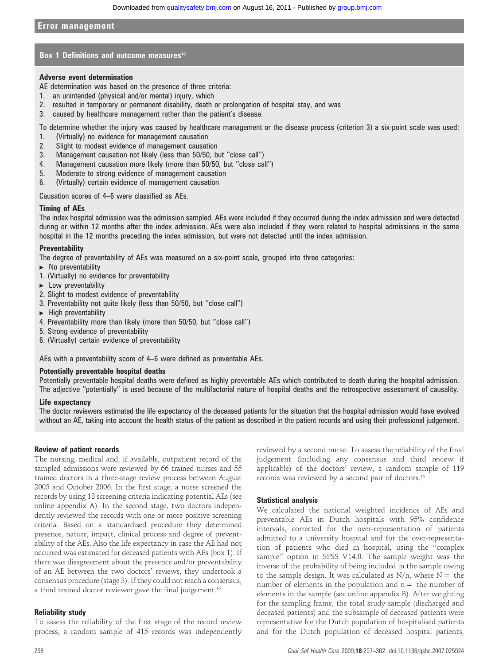# Box 1 Definitions and outcome measures<sup>16</sup>

#### Adverse event determination

AE determination was based on the presence of three criteria:

- 1. an unintended (physical and/or mental) injury, which
- 2. resulted in temporary or permanent disability, death or prolongation of hospital stay, and was
- 3. caused by healthcare management rather than the patient's disease.

To determine whether the injury was caused by healthcare management or the disease process (criterion 3) a six-point scale was used:

- 1. (Virtually) no evidence for management causation
- 2. Slight to modest evidence of management causation
- 3. Management causation not likely (less than 50/50, but ''close call'')
- 4. Management causation more likely (more than 50/50, but ''close call'')
- 5. Moderate to strong evidence of management causation
- 6. (Virtually) certain evidence of management causation

Causation scores of 4–6 were classified as AEs.

#### Timing of AEs

The index hospital admission was the admission sampled. AEs were included if they occurred during the index admission and were detected during or within 12 months after the index admission. AEs were also included if they were related to hospital admissions in the same hospital in the 12 months preceding the index admission, but were not detected until the index admission.

### **Preventability**

The degree of preventability of AEs was measured on a six-point scale, grouped into three categories:

- $\triangleright$  No preventability
- 1. (Virtually) no evidence for preventability
- $\blacktriangleright$  Low preventability
- 2. Slight to modest evidence of preventability
- 3. Preventability not quite likely (less than 50/50, but ''close call'')
- $\blacktriangleright$  High preventability
- 4. Preventability more than likely (more than 50/50, but ''close call'')
- 5. Strong evidence of preventability
- 6. (Virtually) certain evidence of preventability

AEs with a preventability score of 4–6 were defined as preventable AEs.

### Potentially preventable hospital deaths

Potentially preventable hospital deaths were defined as highly preventable AEs which contributed to death during the hospital admission. The adjective ''potentially'' is used because of the multifactorial nature of hospital deaths and the retrospective assessment of causality.

#### Life expectancy

The doctor reviewers estimated the life expectancy of the deceased patients for the situation that the hospital admission would have evolved without an AE, taking into account the health status of the patient as described in the patient records and using their professional judgement.

# Review of patient records

The nursing, medical and, if available, outpatient record of the sampled admissions were reviewed by 66 trained nurses and 55 trained doctors in a three-stage review process between August 2005 and October 2006. In the first stage, a nurse screened the records by using 18 screening criteria indicating potential AEs (see online appendix A). In the second stage, two doctors independently reviewed the records with one or more positive screening criteria. Based on a standardised procedure they determined presence, nature, impact, clinical process and degree of preventability of the AEs. Also the life expectancy in case the AE had not occurred was estimated for deceased patients with AEs (box 1). If there was disagreement about the presence and/or preventability of an AE between the two doctors' reviews, they undertook a consensus procedure (stage 3). If they could not reach a consensus, a third trained doctor reviewer gave the final judgement.<sup>16</sup>

# Reliability study

To assess the reliability of the first stage of the record review process, a random sample of 415 records was independently

reviewed by a second nurse. To assess the reliability of the final judgement (including any consensus and third review if applicable) of the doctors' review, a random sample of 119 records was reviewed by a second pair of doctors.16

# Statistical analysis

We calculated the national weighted incidence of AEs and preventable AEs in Dutch hospitals with 95% confidence intervals, corrected for the over-representation of patients admitted to a university hospital and for the over-representation of patients who died in hospital, using the ''complex sample'' option in SPSS V14.0. The sample weight was the inverse of the probability of being included in the sample owing to the sample design. It was calculated as  $N/n$ , where  $N =$  the number of elements in the population and  $n =$  the number of elements in the sample (see online appendix B). After weighting for the sampling frame, the total study sample (discharged and deceased patients) and the subsample of deceased patients were representative for the Dutch population of hospitalised patients and for the Dutch population of deceased hospital patients,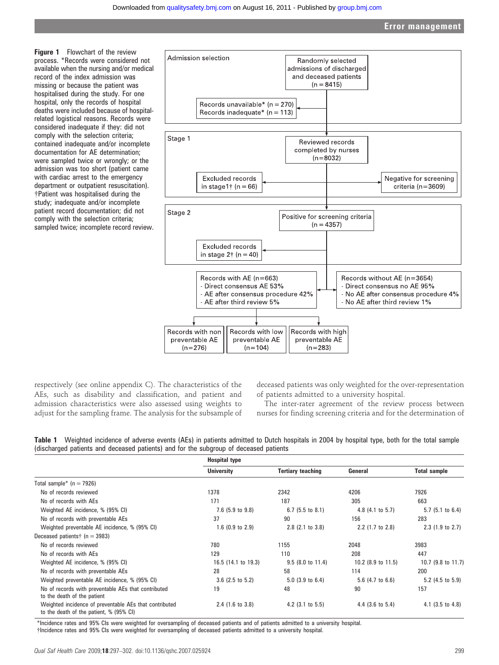Figure 1 Flowchart of the review process. \*Records were considered not available when the nursing and/or medical record of the index admission was missing or because the patient was hospitalised during the study. For one hospital, only the records of hospital deaths were included because of hospitalrelated logistical reasons. Records were considered inadequate if they: did not comply with the selection criteria; contained inadequate and/or incomplete documentation for AE determination; were sampled twice or wrongly; or the admission was too short (patient came with cardiac arrest to the emergency department or outpatient resuscitation). {Patient was hospitalised during the study; inadequate and/or incomplete patient record documentation; did not comply with the selection criteria; sampled twice; incomplete record review.



respectively (see online appendix C). The characteristics of the AEs, such as disability and classification, and patient and admission characteristics were also assessed using weights to adjust for the sampling frame. The analysis for the subsample of deceased patients was only weighted for the over-representation of patients admitted to a university hospital.

The inter-rater agreement of the review process between nurses for finding screening criteria and for the determination of

|  | Table 1 Weighted incidence of adverse events (AEs) in patients admitted to Dutch hospitals in 2004 by hospital type, both for the total sample |  |  |  |  |  |  |  |
|--|------------------------------------------------------------------------------------------------------------------------------------------------|--|--|--|--|--|--|--|
|  | (discharged patients and deceased patients) and for the subgroup of deceased patients                                                          |  |  |  |  |  |  |  |

|                                                                                                   | <b>Hospital type</b> |                          |                             |                       |  |  |  |
|---------------------------------------------------------------------------------------------------|----------------------|--------------------------|-----------------------------|-----------------------|--|--|--|
|                                                                                                   | <b>University</b>    | <b>Tertiary teaching</b> | General                     | <b>Total sample</b>   |  |  |  |
| Total sample* $(n = 7926)$                                                                        |                      |                          |                             |                       |  |  |  |
| No of records reviewed                                                                            | 1378                 | 2342                     | 4206                        | 7926                  |  |  |  |
| No of records with AEs                                                                            | 171                  | 187                      | 305                         | 663                   |  |  |  |
| Weighted AE incidence, % (95% CI)                                                                 | $7.6$ (5.9 to 9.8)   | $6.7$ (5.5 to 8.1)       | 4.8 $(4.1 \text{ to } 5.7)$ | $5.7$ (5.1 to 6.4)    |  |  |  |
| No of records with preventable AEs                                                                | 37                   | 90                       | 156                         | 283                   |  |  |  |
| Weighted preventable AE incidence, % (95% CI)                                                     | $1.6$ (0.9 to 2.9)   | $2.8$ (2.1 to $3.8$ )    | $2.2$ (1.7 to $2.8$ )       | $2.3$ (1.9 to 2.7)    |  |  |  |
| Deceased patients $(n = 3983)$                                                                    |                      |                          |                             |                       |  |  |  |
| No of records reviewed                                                                            | 780                  | 1155                     | 2048                        | 3983                  |  |  |  |
| No of records with AEs                                                                            | 129                  | 110                      | 208                         | 447                   |  |  |  |
| Weighted AE incidence, % (95% CI)                                                                 | 16.5 (14.1 to 19.3)  | $9.5$ (8.0 to 11.4)      | 10.2 (8.9 to 11.5)          | 10.7 (9.8 to 11.7)    |  |  |  |
| No of records with preventable AEs                                                                | 28                   | 58                       | 114                         | 200                   |  |  |  |
| Weighted preventable AE incidence, % (95% CI)                                                     | $3.6$ (2.5 to 5.2)   | $5.0$ (3.9 to 6.4)       | 5.6 $(4.7 \text{ to } 6.6)$ | $5.2$ (4.5 to $5.9$ ) |  |  |  |
| No of records with preventable AEs that contributed<br>to the death of the patient                | 19                   | 48                       | 90                          | 157                   |  |  |  |
| Weighted incidence of preventable AEs that contributed<br>to the death of the patient, % (95% CI) | $2.4$ (1.6 to 3.8)   | $4.2$ (3.1 to 5.5)       | $4.4$ (3.6 to 5.4)          | $4.1$ (3.5 to 4.8)    |  |  |  |

\*Incidence rates and 95% CIs were weighted for oversampling of deceased patients and of patients admitted to a university hospital.

{Incidence rates and 95% CIs were weighted for oversampling of deceased patients admitted to a university hospital.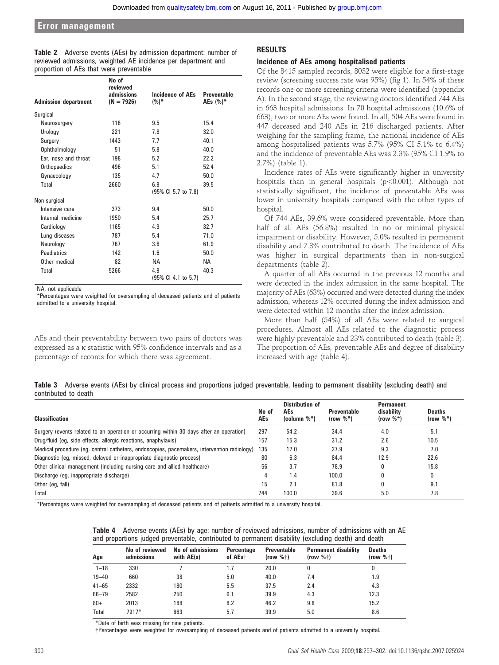Table 2 Adverse events (AEs) by admission department: number of reviewed admissions, weighted AE incidence per department and proportion of AEs that were preventable

| <b>Admission department</b> | No of<br>reviewed<br>admissions<br>$(N = 7926)$ | Incidence of AEs<br>$(%)^*$ | <b>Preventable</b><br>AEs (%)* |
|-----------------------------|-------------------------------------------------|-----------------------------|--------------------------------|
| Surgical                    |                                                 |                             |                                |
| Neurosurgery                | 116                                             | 9.5                         | 15.4                           |
| Urology                     | 221                                             | 7.8                         | 32.0                           |
| Surgery                     | 1443                                            | 7.7                         | 40.1                           |
| Ophthalmology               | 51                                              | 5.8                         | 40.0                           |
| Ear, nose and throat        | 198                                             | 5.2                         | 22.2                           |
| Orthopaedics                | 496                                             | 5.1                         | 52.4                           |
| Gynaecology                 | 135                                             | 4.7                         | 50.0                           |
| Total                       | 2660                                            | 6.8<br>(95% CI 5.7 to 7.8)  | 39.5                           |
| Non-surgical                |                                                 |                             |                                |
| Intensive care              | 373                                             | 9.4                         | 50.0                           |
| Internal medicine           | 1950                                            | 5.4                         | 25.7                           |
| Cardiology                  | 1165                                            | 4.9                         | 32.7                           |
| Lung diseases               | 787                                             | 5.4                         | 71.0                           |
| Neurology                   | 767                                             | 3.6                         | 61.9                           |
| Paediatrics                 | 142                                             | 1.6                         | 50.0                           |
| Other medical               | 82                                              | NA.                         | NA                             |
| Total                       | 5266                                            | 4.8<br>(95% CI 4.1 to 5.7)  | 40.3                           |

NA, not applicable

\*Percentages were weighted for oversampling of deceased patients and of patients admitted to a university hospital.

AEs and their preventability between two pairs of doctors was expressed as a k statistic with 95% confidence intervals and as a percentage of records for which there was agreement.

# RESULTS

# Incidence of AEs among hospitalised patients

Of the 8415 sampled records, 8032 were eligible for a first-stage review (screening success rate was 95%) (fig 1). In 54% of these records one or more screening criteria were identified (appendix A). In the second stage, the reviewing doctors identified 744 AEs in 663 hospital admissions. In 70 hospital admissions (10.6% of 663), two or more AEs were found. In all, 504 AEs were found in 447 deceased and 240 AEs in 216 discharged patients. After weighing for the sampling frame, the national incidence of AEs among hospitalised patients was 5.7% (95% CI 5.1% to 6.4%) and the incidence of preventable AEs was 2.3% (95% CI 1.9% to 2.7%) (table 1).

Incidence rates of AEs were significantly higher in university hospitals than in general hospitals ( $p<0.001$ ). Although not statistically significant, the incidence of preventable AEs was lower in university hospitals compared with the other types of hospital.

Of 744 AEs, 39.6% were considered preventable. More than half of all AEs (56.8%) resulted in no or minimal physical impairment or disability. However, 5.0% resulted in permanent disability and 7.8% contributed to death. The incidence of AEs was higher in surgical departments than in non-surgical departments (table 2).

A quarter of all AEs occurred in the previous 12 months and were detected in the index admission in the same hospital. The majority of AEs (63%) occurred and were detected during the index admission, whereas 12% occurred during the index admission and were detected within 12 months after the index admission.

More than half (54%) of all AEs were related to surgical procedures. Almost all AEs related to the diagnostic process were highly preventable and 23% contributed to death (table 3). The proportion of AEs, preventable AEs and degree of disability increased with age (table 4).

Table 3 Adverse events (AEs) by clinical process and proportions judged preventable, leading to permanent disability (excluding death) and contributed to death

| <b>Classification</b>                                                                      | No of<br><b>AEs</b> | <b>Distribution of</b><br><b>AEs</b><br>$\text{(column } %^{\ast}\text{))}$ | <b>Preventable</b><br>(row $\%^*$ ) | <b>Permanent</b><br>disability<br>$(row %^*)$ | <b>Deaths</b><br>$(row %*)$ |
|--------------------------------------------------------------------------------------------|---------------------|-----------------------------------------------------------------------------|-------------------------------------|-----------------------------------------------|-----------------------------|
| Surgery (events related to an operation or occurring within 30 days after an operation)    | 297                 | 54.2                                                                        | 34.4                                | 4.0                                           | 5.1                         |
| Drug/fluid (eg, side effects, allergic reactions, anaphylaxis)                             | 157                 | 15.3                                                                        | 31.2                                | 2.6                                           | 10.5                        |
| Medical procedure (eq. central catheters, endoscopies, pacemakers, intervention radiology) | 135                 | 17.0                                                                        | 27.9                                | 9.3                                           | 7.0                         |
| Diagnostic (eg, missed, delayed or inappropriate diagnostic process)                       | 80                  | 6.3                                                                         | 84.4                                | 12.9                                          | 22.6                        |
| Other clinical management (including nursing care and allied healthcare)                   | 56                  | 3.7                                                                         | 78.9                                | 0                                             | 15.8                        |
| Discharge (eg, inappropriate discharge)                                                    | 4                   | $\overline{.4}$                                                             | 100.0                               | 0                                             |                             |
| Other (eq, fall)                                                                           | 15                  | 2.1                                                                         | 81.8                                | 0                                             | 9.1                         |
| Total                                                                                      | 744                 | 100.0                                                                       | 39.6                                | 5.0                                           | 7.8                         |

\*Percentages were weighted for oversampling of deceased patients and of patients admitted to a university hospital.

| <b>Table 4</b> Adverse events (AEs) by age: number of reviewed admissions, number of admissions with an AE |  |  |  |  |  |  |  |
|------------------------------------------------------------------------------------------------------------|--|--|--|--|--|--|--|
| and proportions judged preventable, contributed to permanent disability (excluding death) and death        |  |  |  |  |  |  |  |

| Age          | No of reviewed<br>admissions | No of admissions<br>with AE(s) | Percentage<br>of AEst | <b>Preventable</b><br>(row % <sup>†</sup> ) | <b>Permanent disability</b><br>(row $\%\dagger$ ) | <b>Deaths</b><br>(row % <sup>†</sup> ) |
|--------------|------------------------------|--------------------------------|-----------------------|---------------------------------------------|---------------------------------------------------|----------------------------------------|
| $1 - 18$     | 330                          |                                | 1.7                   | 20.0                                        |                                                   |                                        |
| $19 - 40$    | 660                          | 38                             | 5.0                   | 40.0                                        | 7.4                                               | 1.9                                    |
| $41 - 65$    | 2332                         | 180                            | 5.5                   | 37.5                                        | 2.4                                               | 4.3                                    |
| $66 - 79$    | 2582                         | 250                            | 6.1                   | 39.9                                        | 4.3                                               | 12.3                                   |
| $80 +$       | 2013                         | 188                            | 8.2                   | 46.2                                        | 9.8                                               | 15.2                                   |
| <b>Total</b> | 7917*                        | 663                            | 5.7                   | 39.9                                        | 5.0                                               | 8.6                                    |

\*Date of birth was missing for nine patients.

{Percentages were weighted for oversampling of deceased patients and of patients admitted to a university hospital.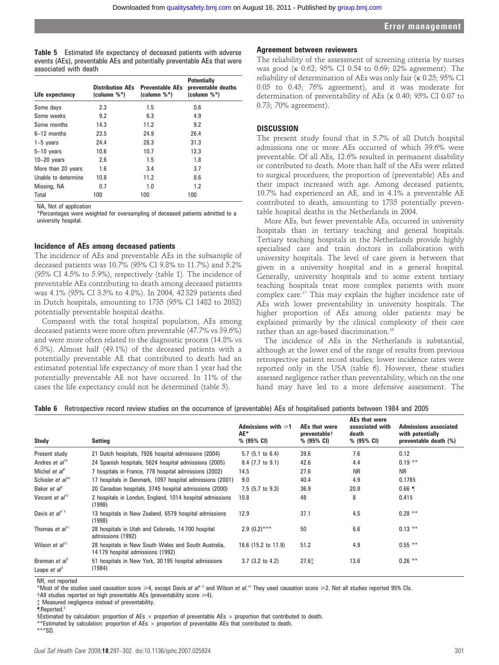Table 5 Estimated life expectancy of deceased patients with adverse events (AEs), preventable AEs and potentially preventable AEs that were associated with death

| Life expectancy     | <b>Distribution AEs</b><br>$\text{(column } %$ | <b>Preventable AEs</b><br>$\text{(column } %$ | <b>Potentially</b><br>preventable deaths<br>(column %*) |
|---------------------|------------------------------------------------|-----------------------------------------------|---------------------------------------------------------|
| Some days           | 2.3                                            | 1.5                                           | 0.6                                                     |
| Some weeks          | 9.2                                            | 6.3                                           | 4.9                                                     |
| Some months         | 14.3                                           | 11.2                                          | 9.2                                                     |
| $6-12$ months       | 23.5                                           | 24.9                                          | 26.4                                                    |
| $1-5$ years         | 24.4                                           | 28.3                                          | 31.3                                                    |
| $5-10$ years        | 10.6                                           | 10.7                                          | 12.3                                                    |
| $10-20$ years       | 2.6                                            | 1.5                                           | 1.8                                                     |
| More than 20 years  | 1.6                                            | 3.4                                           | 3.7                                                     |
| Unable to determine | 10.8                                           | 11.2                                          | 8.6                                                     |
| Missing, NA         | 0.7                                            | 1.0                                           | 1.2                                                     |
| Total               | 100                                            | 100                                           | 100                                                     |

NA, Not of application

\*Percentages were weighted for oversampling of deceased patients admitted to a university hospital.

# Incidence of AEs among deceased patients

The incidence of AEs and preventable AEs in the subsample of deceased patients was 10.7% (95% CI 9.8% to 11.7%) and 5.2% (95% CI 4.5% to 5.9%), respectively (table 1). The incidence of preventable AEs contributing to death among deceased patients was 4.1% (95% CI 3.5% to 4.8%). In 2004, 42 329 patients died in Dutch hospitals, amounting to 1735 (95% CI 1482 to 2032) potentially preventable hospital deaths.

Compared with the total hospital population, AEs among deceased patients were more often preventable (47.7% vs 39.6%) and were more often related to the diagnostic process (14.8% vs 6.3%). Almost half (49.1%) of the deceased patients with a potentially preventable AE that contributed to death had an estimated potential life expectancy of more than 1 year had the potentially preventable AE not have occurred. In 11% of the cases the life expectancy could not be determined (table 5).

#### Agreement between reviewers

The reliability of the assessment of screening criteria by nurses was good (k 0.62; 95% CI 0.54 to 0.69; 82% agreement). The reliability of determination of AEs was only fair ( $\kappa$  0.25; 95% CI 0.05 to 0.45; 76% agreement), and it was moderate for determination of preventability of AEs (k 0.40; 95% CI 0.07 to 0.73; 70% agreement).

# **DISCUSSION**

The present study found that in 5.7% of all Dutch hospital admissions one or more AEs occurred of which 39.6% were preventable. Of all AEs, 12.6% resulted in permanent disability or contributed to death. More than half of the AEs were related to surgical procedures; the proportion of (preventable) AEs and their impact increased with age. Among deceased patients, 10.7% had experienced an AE, and in 4.1% a preventable AE contributed to death, amounting to 1735 potentially preventable hospital deaths in the Netherlands in 2004.

More AEs, but fewer preventable AEs, occurred in university hospitals than in tertiary teaching and general hospitals. Tertiary teaching hospitals in the Netherlands provide highly specialised care and train doctors in collaboration with university hospitals. The level of care given is between that given in a university hospital and in a general hospital. Generally, university hospitals and to some extent tertiary teaching hospitals treat more complex patients with more complex care.17 This may explain the higher incidence rate of AEs with lower preventability in university hospitals. The higher proportion of AEs among older patients may be explained primarily by the clinical complexity of their care rather than an age-based discrimination.<sup>18</sup>

The incidence of AEs in the Netherlands is substantial, although at the lower end of the range of results from previous retrospective patient record studies; lower incidence rates were reported only in the USA (table 6). However, these studies assessed negligence rather than preventability, which on the one hand may have led to a more defensive assessment. The

|  | Table 6 Retrospective record review studies on the occurrence of (preventable) AEs of hospitalised patients between 1984 and 2005 |  |  |  |  |  |  |  |  |  |  |
|--|-----------------------------------------------------------------------------------------------------------------------------------|--|--|--|--|--|--|--|--|--|--|
|--|-----------------------------------------------------------------------------------------------------------------------------------|--|--|--|--|--|--|--|--|--|--|

| Study                             | Setting                                                                                   | Admissions with $\geq 1$<br>AE*<br>$% (95\% CI)$ | AEs that were<br>preventable <sup>†</sup><br>$% (95\% CI)$ | AEs that were<br>associated with<br>death<br>$% (95\% CI)$ | <b>Admissions associated</b><br>with potentially<br>preventable death (%) |
|-----------------------------------|-------------------------------------------------------------------------------------------|--------------------------------------------------|------------------------------------------------------------|------------------------------------------------------------|---------------------------------------------------------------------------|
| Present study                     | 21 Dutch hospitals, 7926 hospital admissions (2004)                                       | $5.7$ (5.1 to 6.4)                               | 39.6                                                       | 7.6                                                        | 0.12                                                                      |
| Andres et al <sup>19</sup>        | 24 Spanish hospitals, 5624 hospital admissions (2005)                                     | 8.4 (7.7 to 9.1)                                 | 42.6                                                       | 4.4                                                        | $0.19$ **                                                                 |
| Michel et al <sup>8</sup>         | 7 hospitals in France, 778 hospital admissions (2002)                                     | 14.5                                             | 27.6                                                       | <b>NR</b>                                                  | <b>NR</b>                                                                 |
| Schioler et $al^{10}$             | 17 hospitals in Denmark, 1097 hospital admissions (2001)                                  | 9.0                                              | 40.4                                                       | 4.9                                                        | 0.178§                                                                    |
| Baker <i>et al</i> <sup>2</sup>   | 20 Canadian hospitals, 3745 hospital admissions (2000)                                    | $7.5$ (5.7 to 9.3)                               | 36.9                                                       | 20.8                                                       | $0.66$ ¶                                                                  |
| Vincent et $al^{12}$              | 2 hospitals in London, England, 1014 hospital admissions<br>(1998)                        | 10.8                                             | 48                                                         | 8                                                          | $0.41$ §                                                                  |
| Davis <i>et al</i> <sup>45</sup>  | 13 hospitals in New Zealand, 6579 hospital admissions<br>(1998)                           | 12.9                                             | 37.1                                                       | 4.5                                                        | $0.28$ **                                                                 |
| Thomas et $al11$                  | 28 hospitals in Utah and Colorado, 14 700 hospital<br>admissions (1992)                   | $2.9(0.2)$ ***                                   | 50                                                         | 6.6                                                        | $0.13$ **                                                                 |
| Wilson <i>et al</i> <sup>13</sup> | 28 hospitals in New South Wales and South Australia,<br>14 179 hospital admissions (1992) | 16.6 (15.2 to 17.9)                              | 51.2                                                       | 4.9                                                        | $0.55$ **                                                                 |
| Brennan <i>et al</i>              | 51 hospitals in New York, 30195 hospital admissions                                       | $3.7$ (3.2 to 4.2)                               | 27.61                                                      | 13.6                                                       | $0.26$ **                                                                 |
| Leape <i>et</i> $a^{3}$           | (1984)                                                                                    |                                                  |                                                            |                                                            |                                                                           |

NR, not reported

\*Most of the studies used causation score  $\geq 4$ , except Davis *et al*<sup>45</sup> and Wilson *et al.*<sup>13</sup> They used causation score  $\geq$  2. Not all studies reported 95% CIs.

 $\dagger$ All studies reported on high preventable AEs (preventability score  $\geq 4$ ).

Estimated by calculation: proportion of AEs  $\times$  proportion of preventable AEs  $\times$  proportion that contributed to death.

\*\*Estimated by calculation: proportion of AEs  $\times$  proportion of preventable AEs that contributed to death.

\*\*\*SD.

<sup>{</sup> Measured negligence instead of preventability.

<sup>&</sup>quot;Reported.<sup>2</sup>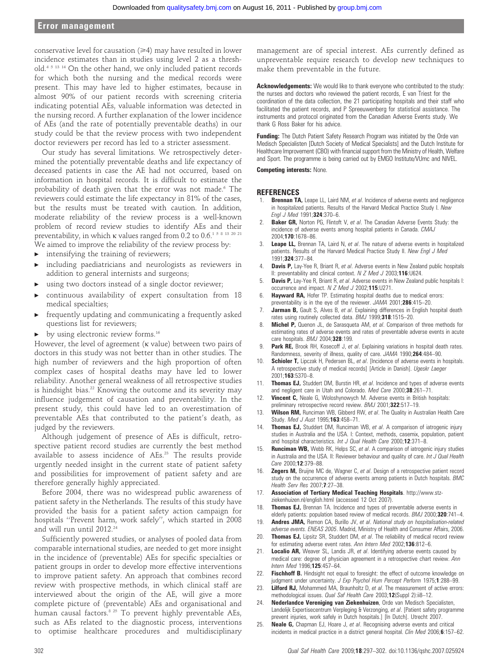conservative level for causation  $(\geq 4)$  may have resulted in lower incidence estimates than in studies using level 2 as a threshold.4 5 13 14 On the other hand, we only included patient records for which both the nursing and the medical records were present. This may have led to higher estimates, because in almost 90% of our patient records with screening criteria indicating potential AEs, valuable information was detected in the nursing record. A further explanation of the lower incidence of AEs (and the rate of potentially preventable deaths) in our study could be that the review process with two independent doctor reviewers per record has led to a stricter assessment.

Our study has several limitations. We retrospectively determined the potentially preventable deaths and life expectancy of deceased patients in case the AE had not occurred, based on information in hospital records. It is difficult to estimate the probability of death given that the error was not made.<sup>6</sup> The reviewers could estimate the life expectancy in 81% of the cases, but the results must be treated with caution. In addition, moderate reliability of the review process is a well-known problem of record review studies to identify AEs and their preventability, in which  $\kappa$  values ranged from 0.2 to 0.6.<sup>1 5 8 13 20 21</sup>

We aimed to improve the reliability of the review process by:

- $\blacktriangleright$  intensifying the training of reviewers;
- including paediatricians and neurologists as reviewers in addition to general internists and surgeons;
- using two doctors instead of a single doctor reviewer;
- continuous availability of expert consultation from 18 medical specialties;
- $\blacktriangleright$  frequently updating and communicating a frequently asked questions list for reviewers;
- by using electronic review forms.<sup>16</sup>

However, the level of agreement (k value) between two pairs of doctors in this study was not better than in other studies. The high number of reviewers and the high proportion of often complex cases of hospital deaths may have led to lower reliability. Another general weakness of all retrospective studies is hindsight bias.<sup>22</sup> Knowing the outcome and its severity may influence judgement of causation and preventability. In the present study, this could have led to an overestimation of preventable AEs that contributed to the patient's death, as judged by the reviewers.

Although judgement of presence of AEs is difficult, retrospective patient record studies are currently the best method available to assess incidence of AEs.<sup>23</sup> The results provide urgently needed insight in the current state of patient safety and possibilities for improvement of patient safety and are therefore generally highly appreciated.

Before 2004, there was no widespread public awareness of patient safety in the Netherlands. The results of this study have provided the basis for a patient safety action campaign for hospitals ''Prevent harm, work safely'', which started in 2008 and will run until 2012.<sup>24</sup>

Sufficiently powered studies, or analyses of pooled data from comparable international studies, are needed to get more insight in the incidence of (preventable) AEs for specific specialties or patient groups in order to develop more effective interventions to improve patient safety. An approach that combines record review with prospective methods, in which clinical staff are interviewed about the origin of the AE, will give a more complete picture of (preventable) AEs and organisational and human causal factors.<sup>8 25</sup> To prevent highly preventable AEs, such as AEs related to the diagnostic process, interventions to optimise healthcare procedures and multidisciplinary

management are of special interest. AEs currently defined as unpreventable require research to develop new techniques to make them preventable in the future.

Acknowledgements: We would like to thank everyone who contributed to the study: the nurses and doctors who reviewed the patient records, E van Triest for the coordination of the data collection, the 21 participating hospitals and their staff who facilitated the patient records, and P Spreeuwenberg for statistical assistance. The instruments and protocol originated from the Canadian Adverse Events study. We thank G Ross Baker for his advice.

Funding: The Dutch Patient Safety Research Program was initiated by the Orde van Medisch Specialisten [Dutch Society of Medical Specialists] and the Dutch Institute for Healthcare Improvement (CBO) with financial support from the Ministry of Health, Welfare and Sport. The programme is being carried out by EMGO Institute/VUmc and NIVEL.

Competing interests: None.

#### **REFERENCES**

- **Brennan TA**, Leape LL, Laird NM, et al. Incidence of adverse events and negligence in hospitalized patients. Results of the Harvard Medical Practice Study I. New Engl J Med 1991;324:370–6.
- **Baker GR,** Norton PG, Flintoft V, et al. The Canadian Adverse Events Study: the incidence of adverse events among hospital patients in Canada. CMAJ 2004;170:1678–86.
- 3. **Leape LL,** Brennan TA, Laird N, et al. The nature of adverse events in hospitalized patients. Results of the Harvard Medical Practice Study II. New Engl J Med 1991;324:377–84.
- **Davis P,** Lay-Yee R, Briant R, et al. Adverse events in New Zealand public hospitals II: preventability and clinical context. N Z Med J 2003;116:U624.
- 5. **Davis P,** Lay-Yee R, Briant R, et al. Adverse events in New Zealand public hospitals I: occurrence and impact. N Z Med J 2002;115:U271.
- 6. **Hayward RA, Hofer TP.** Estimating hospital deaths due to medical errors: preventability is in the eye of the reviewer. JAMA 2001;286:415–20.
- 7. **Jarman B,** Gault S, Alves B, et al. Explaining differences in English hospital death rates using routinely collected data. BMJ 1999;318:1515-20.
- 8. Michel P, Quenon JL, de Sarasqueta AM, et al. Comparison of three methods for estimating rates of adverse events and rates of preventable adverse events in acute care hospitals. BMJ 2004;328:199.
- 9. **Park RE,** Brook RH, Kosecoff J, et al. Explaining variations in hospital death rates. Randomness, severity of illness, quality of care. JAMA 1990;264:484–90.
- 10. Schioler T, Lipczak H, Pedersen BL, et al. [Incidence of adverse events in hospitals. A retrospective study of medical records] [Article in Danish]. Ugeskr Laeger 2001;163:5370–8.
- 11. Thomas EJ, Studdert DM, Burstin HR, et al. Incidence and types of adverse events and negligent care in Utah and Colorado. Med Care 2000;38:261-71.
- 12. Vincent C, Neale G, Woloshynowych M. Adverse events in British hospitals: preliminary retrospective record review. BMJ 2001;322:517-19.
- Wilson RM, Runciman WB, Gibberd RW, et al. The Quality in Australian Health Care Study. Med J Aust 1995;163:458-71.
- 14. Thomas EJ, Studdert DM, Runciman WB, et al. A comparison of iatrogenic injury studies in Australia and the USA. I: Context, methods, casemix, population, patient and hospital characteristics. Int J Qual Health Care 2000;12:371-8.
- 15. Runciman WB, Webb RK, Helps SC, et al. A comparison of iatrogenic injury studies in Australia and the USA. II: Reviewer behaviour and quality of care. Int J Qual Health Care 2000;12:379–88.
- 16. **Zegers M,** Bruijne MC de, Wagner C, et al. Design of a retrospective patient record study on the occurrence of adverse events among patients in Dutch hospitals. BMC Health Serv Res 2007;7:27–38.
- 17. Association of Tertiary Medical Teaching Hospitals. http://www.stzziekenhuizen.nl/english.html (accessed 12 Oct 2007).
- 18. Thomas EJ, Brennan TA. Incidence and types of preventable adverse events in elderly patients: population based review of medical records. BMJ 2000;320:741-4.
- 19. **Andres JMA**, Remon CA, Burillo JV, et al. National study on hospitalisation-related adverse events. ENEAS 2005. Madrid, Ministry of Health and Consumer Affairs, 2006.
- 20. Thomas EJ, Lipsitz SR, Studdert DM, et al. The reliability of medical record review for estimating adverse event rates. Ann Intern Med 2002;136:812–6.
- 21. Localio AR, Weaver SL, Landis JR, et al. Identifying adverse events caused by medical care: degree of physician agreement in a retrospective chart review. Ann Intern Med 1996;125:457–64.
- 22. Fischhoff B. Hindsight not equal to foresight: the effect of outcome knowledge on judgment under uncertainty. J Exp Psychol Hum Percept Perform 1975;1:288-99.
- 23. Lilford RJ, Mohammed MA, Braunholtz D, et al. The measurement of active errors: methodological issues. Qual Saf Health Care 2003;12(Suppl 2):ii8-12.
- 24. Nederlandce Vereniging van Ziekenhuizen, Orde van Medisch Specialisten, Landelijk Expertisecentrum Verpleging & Verzonging, et al. [Patient safety programme prevent injuries, work safely in Dutch hospitals.] [In Dutch]. Utrecht 2007.
- 25. Neale G, Chapman EJ, Hoare J, et al. Recognising adverse events and critical incidents in medical practice in a district general hospital. Clin Med 2006;6:157-62.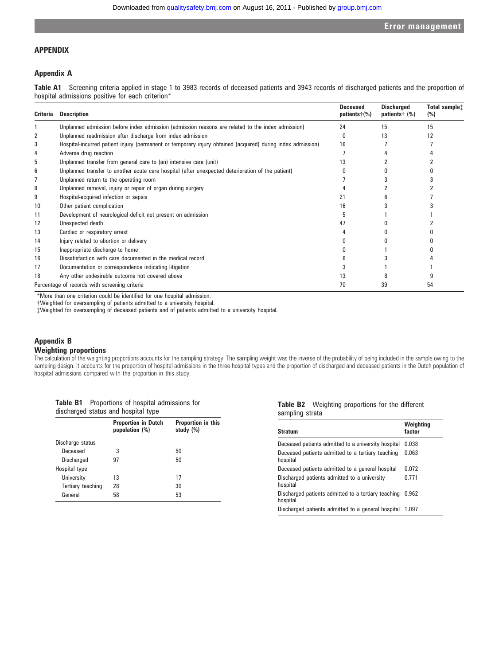Table A1 Screening criteria applied in stage 1 to 3983 records of deceased patients and 3943 records of discharged patients and the proportion of

# APPENDIX

#### Appendix A

hospital admissions positive for each criterion\*

Criteria Description Deceased patients  $\dagger$  (%) **Discharged** patients<sup>†</sup> (%)  $\overline{\mathsf{T}^{\mathsf{total}}}$  sample $\ddagger$ (%) 1 Unplanned admission before index admission (admission reasons are related to the index admission) 24 15 15 2 Unplanned readmission after discharge from index admission **12** 12 12 3 Hospital-incurred patient injury (permanent or temporary injury obtained (acquired) during index admission) 16 7 7 4 Adverse drug reaction and the second second second second second second second second second second second second second second second second second second second second second second second second second second second s 5 Unplanned transfer from general care to (an) intensive care (unit) 13 2 2 6 Unplanned transfer to another acute care hospital (after unexpected deterioration of the patient) 0 0 0 7 Unplanned return to the operating room 7 3 3 8 Unplanned removal, injury or repair of organ during surgery 4 2 2 9 Hospital-acquired infection or sepsis 21 6 7 10 Other patient complication 16 3 3 3 3 3 3 3 3 3 3 3 3 3 3 4 3 3 4 3 3 3 3 4 3 3 4 3 3 4 3 3 4 3 4 3 4 3 4 3 4  $\pm$ 11 Development of neurological deficit not present on admission 5 1 1 12 Unexpected death 47 0 2 13 Cardiac or respiratory arrest 40 0 14 Injury related to abortion or delivery 0 0 0 15 Inappropriate discharge to home 01 0 16 Dissatisfaction with care documented in the medical record 6 3 4 17 Documentation or correspondence indicating litigation and the state of the state of the state of the state of the state of the state of the state of the state of the state of the state of the state of the state of the s 18 Any other undesirable outcome not covered above 13 8 9 Percentage of records with screening criteria **70** 39 54

\*More than one criterion could be identified for one hospital admission.

{Weighted for oversampling of patients admitted to a university hospital.

{Weighted for oversampling of deceased patients and of patients admitted to a university hospital.

### Appendix B

#### Weighting proportions

The calculation of the weighting proportions accounts for the sampling strategy. The sampling weight was the inverse of the probability of being included in the sample owing to the sampling design. It accounts for the proportion of hospital admissions in the three hospital types and the proportion of discharged and deceased patients in the Dutch population of hospital admissions compared with the proportion in this study.

| Table B1 | Proportions of hospital admissions for |
|----------|----------------------------------------|
|          | discharged status and hospital type    |

|                   | <b>Proportion in Dutch</b><br>population (%) | <b>Proportion in this</b><br>study (%) |  |  |  |  |
|-------------------|----------------------------------------------|----------------------------------------|--|--|--|--|
| Discharge status  |                                              |                                        |  |  |  |  |
| Deceased          | 3                                            | 50                                     |  |  |  |  |
| Discharged        | 97                                           | 50                                     |  |  |  |  |
| Hospital type     |                                              |                                        |  |  |  |  |
| University        | 13                                           | 17                                     |  |  |  |  |
| Tertiary teaching | 28                                           | 30                                     |  |  |  |  |
| General           | 58                                           | 53                                     |  |  |  |  |

Table B2 Weighting proportions for the different sampling strata

| <b>Stratum</b>                                                  | Weighting<br>factor |
|-----------------------------------------------------------------|---------------------|
| Deceased patients admitted to a university hospital             | 0.038               |
| Deceased patients admitted to a tertiary teaching<br>hospital   | 0.063               |
| Deceased patients admitted to a general hospital                | 0.072               |
| Discharged patients admitted to a university<br>hospital        | 0.771               |
| Discharged patients admitted to a tertiary teaching<br>hospital | 0.962               |
| Discharged patients admitted to a general hospital              | 1.097               |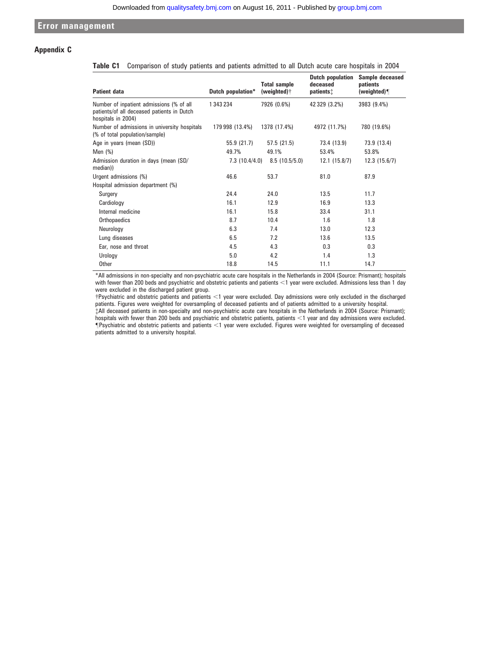# Appendix C

Table C1 Comparison of study patients and patients admitted to all Dutch acute care hospitals in 2004

| <b>Patient data</b>                                                                                          | Dutch population* | <b>Total sample</b><br>(weighted)† | <b>Dutch population</b><br>deceased<br>patients: | Sample deceased<br>patients<br>(weighted) |
|--------------------------------------------------------------------------------------------------------------|-------------------|------------------------------------|--------------------------------------------------|-------------------------------------------|
| Number of inpatient admissions (% of all<br>patients/of all deceased patients in Dutch<br>hospitals in 2004) | 1343234           | 7926 (0.6%)                        | 42 329 (3.2%)                                    | 3983 (9.4%)                               |
| Number of admissions in university hospitals<br>(% of total population/sample)                               | 179 998 (13.4%)   | 1378 (17.4%)                       | 4972 (11.7%)                                     | 780 (19.6%)                               |
| Age in years (mean (SD))                                                                                     | 55.9(21.7)        | 57.5(21.5)                         | 73.4 (13.9)                                      | 73.9 (13.4)                               |
| Men $(%)$                                                                                                    | 49.7%             | 49.1%                              | 53.4%                                            | 53.8%                                     |
| Admission duration in days (mean (SD/<br>median))                                                            | 7.3(10.4/4.0)     | 8.5(10.5/5.0)                      | 12.1(15.8/7)                                     | 12.3(15.6/7)                              |
| Urgent admissions (%)                                                                                        | 46.6              | 53.7                               | 81.0                                             | 87.9                                      |
| Hospital admission department (%)                                                                            |                   |                                    |                                                  |                                           |
| Surgery                                                                                                      | 24.4              | 24.0                               | 13.5                                             | 11.7                                      |
| Cardiology                                                                                                   | 16.1              | 12.9                               | 16.9                                             | 13.3                                      |
| Internal medicine                                                                                            | 16.1              | 15.8                               | 33.4                                             | 31.1                                      |
| Orthopaedics                                                                                                 | 8.7               | 10.4                               | 1.6                                              | 1.8                                       |
| Neurology                                                                                                    | 6.3               | 7.4                                | 13.0                                             | 12.3                                      |
| Lung diseases                                                                                                | 6.5               | 7.2                                | 13.6                                             | 13.5                                      |
| Ear, nose and throat                                                                                         | 4.5               | 4.3                                | 0.3                                              | 0.3                                       |
| Urology                                                                                                      | 5.0               | 4.2                                | 1.4                                              | 1.3                                       |
| <b>Other</b>                                                                                                 | 18.8              | 14.5                               | 11.1                                             | 14.7                                      |

\*All admissions in non-specialty and non-psychiatric acute care hospitals in the Netherlands in 2004 (Source: Prismant); hospitals with fewer than 200 beds and psychiatric and obstetric patients and patients <1 year were excluded. Admissions less than 1 day were excluded in the discharged patient group.

{Psychiatric and obstetric patients and patients ,1 year were excluded. Day admissions were only excluded in the discharged patients. Figures were weighted for oversampling of deceased patients and of patients admitted to a university hospital.

{All deceased patients in non-specialty and non-psychiatric acute care hospitals in the Netherlands in 2004 (Source: Prismant); hospitals with fewer than 200 beds and psychiatric and obstetric patients, patients <1 year and day admissions were excluded. "Psychiatric and obstetric patients and patients ,1 year were excluded. Figures were weighted for oversampling of deceased patients admitted to a university hospital.